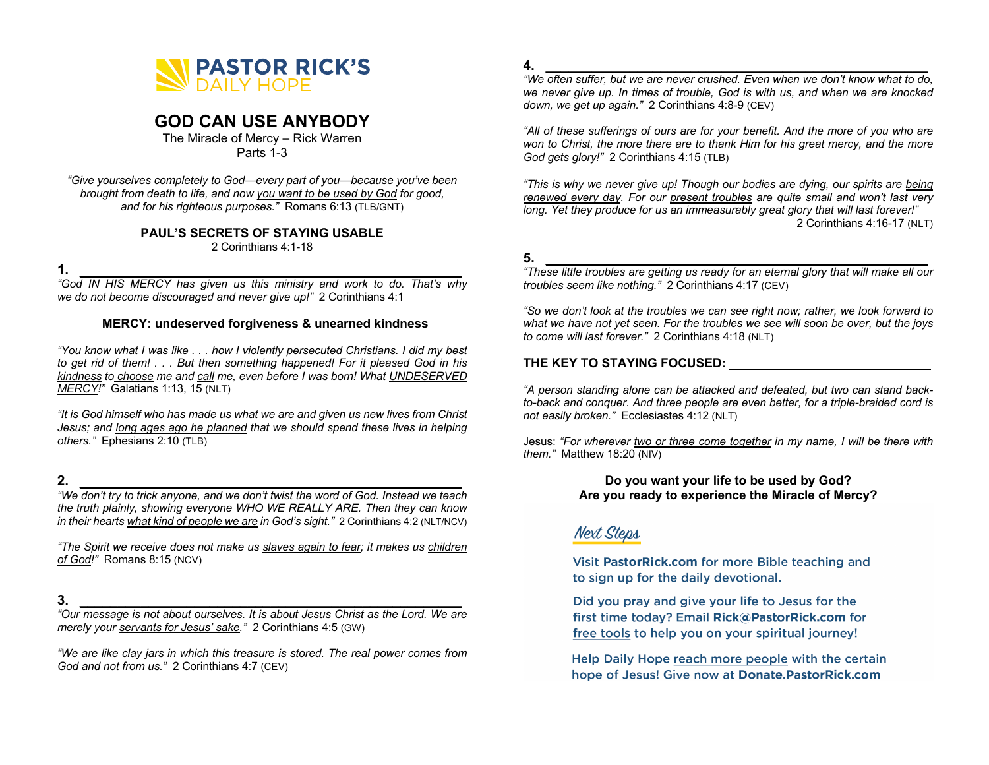

# **GOD CAN USE ANYBODY**

The Miracle of Mercy – Rick Warren Parts 1-3

*"Give yourselves completely to God—every part of you—because you've been brought from death to life, and now you want to be used by God for good, and for his righteous purposes."* Romans 6:13 (TLB/GNT)

## **PAUL'S SECRETS OF STAYING USABLE**

2 Corinthians 4:1-18

**1. \_\_\_\_\_\_\_\_\_\_\_\_\_\_\_\_\_\_\_\_\_\_\_\_\_\_\_\_\_\_\_\_\_\_\_\_\_\_\_\_\_\_\_\_\_\_\_\_\_\_**

*"God IN HIS MERCY has given us this ministry and work to do. That's why we do not become discouraged and never give up!"* 2 Corinthians 4:1

# **MERCY: undeserved forgiveness & unearned kindness**

*"You know what I was like . . . how I violently persecuted Christians. I did my best to get rid of them! . . . But then something happened! For it pleased God in his kindness to choose me and call me, even before I was born! What UNDESERVED MERCY!"* Galatians 1:13, 15 (NLT)

*"It is God himself who has made us what we are and given us new lives from Christ Jesus; and long ages ago he planned that we should spend these lives in helping others."* Ephesians 2:10 (TLB)

# **2. \_\_\_\_\_\_\_\_\_\_\_\_\_\_\_\_\_\_\_\_\_\_\_\_\_\_\_\_\_\_\_\_\_\_\_\_\_\_\_\_\_\_\_\_\_\_\_\_\_\_**

*"We don't try to trick anyone, and we don't twist the word of God. Instead we teach the truth plainly, showing everyone WHO WE REALLY ARE. Then they can know in their hearts what kind of people we are in God's sight."* 2 Corinthians 4:2 (NLT/NCV)

*"The Spirit we receive does not make us slaves again to fear; it makes us children of God!"* Romans 8:15 (NCV)

# **3. \_\_\_\_\_\_\_\_\_\_\_\_\_\_\_\_\_\_\_\_\_\_\_\_\_\_\_\_\_\_\_\_\_\_\_\_\_\_\_\_\_\_\_\_\_\_\_\_\_\_**

*"Our message is not about ourselves. It is about Jesus Christ as the Lord. We are merely your servants for Jesus' sake."* 2 Corinthians 4:5 (GW)

*"We are like clay jars in which this treasure is stored. The real power comes from God and not from us."* 2 Corinthians 4:7 (CEV)

## **4. \_\_\_\_\_\_\_\_\_\_\_\_\_\_\_\_\_\_\_\_\_\_\_\_\_\_\_\_\_\_\_\_\_\_\_\_\_\_\_\_\_\_\_\_\_\_\_\_\_\_**

*"We often suffer, but we are never crushed. Even when we don't know what to do, we never give up. In times of trouble, God is with us, and when we are knocked down, we get up again."* 2 Corinthians 4:8-9 (CEV)

*"All of these sufferings of ours are for your benefit. And the more of you who are won to Christ, the more there are to thank Him for his great mercy, and the more God gets glory!"* 2 Corinthians 4:15 (TLB)

*"This is why we never give up! Though our bodies are dying, our spirits are being renewed every day. For our present troubles are quite small and won't last very long. Yet they produce for us an immeasurably great glory that will last forever!"* 2 Corinthians 4:16-17 (NLT)

# **5. \_\_\_\_\_\_\_\_\_\_\_\_\_\_\_\_\_\_\_\_\_\_\_\_\_\_\_\_\_\_\_\_\_\_\_\_\_\_\_\_\_\_\_\_\_\_\_\_\_\_**

*"These little troubles are getting us ready for an eternal glory that will make all our troubles seem like nothing."* 2 Corinthians 4:17 (CEV)

*"So we don't look at the troubles we can see right now; rather, we look forward to what we have not yet seen. For the troubles we see will soon be over, but the joys to come will last forever."* 2 Corinthians 4:18 (NLT)

# THE KEY TO STAYING FOCUSED: **WE SEE ALL THE KEY**

*"A person standing alone can be attacked and defeated, but two can stand backto-back and conquer. And three people are even better, for a triple-braided cord is not easily broken."* Ecclesiastes 4:12 (NLT)

Jesus: *"For wherever two or three come together in my name, I will be there with them."* Matthew 18:20 (NIV)

## **Do you want your life to be used by God? Are you ready to experience the Miracle of Mercy?**

# **Next Steps**

Visit PastorRick.com for more Bible teaching and to sign up for the daily devotional.

Did you pray and give your life to Jesus for the first time today? Email Rick@PastorRick.com for free tools to help you on your spiritual journey!

Help Daily Hope reach more people with the certain hope of Jesus! Give now at Donate.PastorRick.com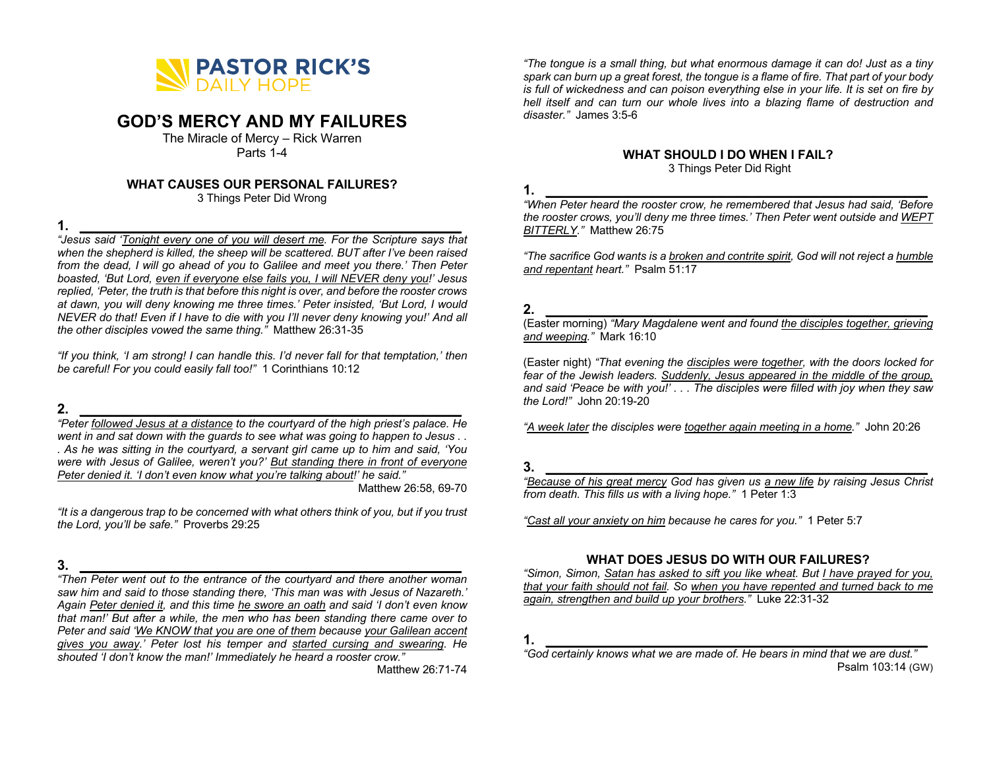

# **GOD'S MERCY AND MY FAILURES**

The Miracle of Mercy – Rick Warren Parts 1-4

## **WHAT CAUSES OUR PERSONAL FAILURES?**

3 Things Peter Did Wrong

**1. \_\_\_\_\_\_\_\_\_\_\_\_\_\_\_\_\_\_\_\_\_\_\_\_\_\_\_\_\_\_\_\_\_\_\_\_\_\_\_\_\_\_\_\_\_\_\_\_\_\_**

*"Jesus said 'Tonight every one of you will desert me. For the Scripture says that when the shepherd is killed, the sheep will be scattered. BUT after I've been raised from the dead, I will go ahead of you to Galilee and meet you there.' Then Peter boasted, 'But Lord, even if everyone else fails you, I will NEVER deny you!' Jesus replied, 'Peter, the truth is that before this night is over, and before the rooster crows at dawn, you will deny knowing me three times.' Peter insisted, 'But Lord, I would NEVER do that! Even if I have to die with you I'll never deny knowing you!' And all the other disciples vowed the same thing."* Matthew 26:31-35

*"If you think, 'I am strong! I can handle this. I'd never fall for that temptation,' then be careful! For you could easily fall too!"* 1 Corinthians 10:12

**2. \_\_\_\_\_\_\_\_\_\_\_\_\_\_\_\_\_\_\_\_\_\_\_\_\_\_\_\_\_\_\_\_\_\_\_\_\_\_\_\_\_\_\_\_\_\_\_\_\_\_** *"Peter followed Jesus at a distance to the courtyard of the high priest's palace. He went in and sat down with the guards to see what was going to happen to Jesus . . . As he was sitting in the courtyard, a servant girl came up to him and said, 'You were with Jesus of Galilee, weren't you?' But standing there in front of everyone Peter denied it. 'I don't even know what you're talking about!' he said."* Matthew 26:58, 69-70

*"It is a dangerous trap to be concerned with what others think of you, but if you trust the Lord, you'll be safe."* Proverbs 29:25

# **3. \_\_\_\_\_\_\_\_\_\_\_\_\_\_\_\_\_\_\_\_\_\_\_\_\_\_\_\_\_\_\_\_\_\_\_\_\_\_\_\_\_\_\_\_\_\_\_\_\_\_**

*"Then Peter went out to the entrance of the courtyard and there another woman saw him and said to those standing there, 'This man was with Jesus of Nazareth.' Again Peter denied it, and this time he swore an oath and said 'I don't even know that man!' But after a while, the men who has been standing there came over to Peter and said 'We KNOW that you are one of them because your Galilean accent gives you away.' Peter lost his temper and started cursing and swearing. He shouted 'I don't know the man!' Immediately he heard a rooster crow."*

Matthew 26:71-74

*"The tongue is a small thing, but what enormous damage it can do! Just as a tiny spark can burn up a great forest, the tongue is a flame of fire. That part of your body is full of wickedness and can poison everything else in your life. It is set on fire by hell itself and can turn our whole lives into a blazing flame of destruction and disaster."* James 3:5-6

## **WHAT SHOULD I DO WHEN I FAIL?**

3 Things Peter Did Right

# **1. \_\_\_\_\_\_\_\_\_\_\_\_\_\_\_\_\_\_\_\_\_\_\_\_\_\_\_\_\_\_\_\_\_\_\_\_\_\_\_\_\_\_\_\_\_\_\_\_\_\_**

*"When Peter heard the rooster crow, he remembered that Jesus had said, 'Before the rooster crows, you'll deny me three times.' Then Peter went outside and WEPT BITTERLY."* Matthew 26:75

*"The sacrifice God wants is a broken and contrite spirit, God will not reject a humble and repentant heart."* Psalm 51:17

# **2. \_\_\_\_\_\_\_\_\_\_\_\_\_\_\_\_\_\_\_\_\_\_\_\_\_\_\_\_\_\_\_\_\_\_\_\_\_\_\_\_\_\_\_\_\_\_\_\_\_\_**

(Easter morning) *"Mary Magdalene went and found the disciples together, grieving and weeping."* Mark 16:10

(Easter night) *"That evening the disciples were together, with the doors locked for fear of the Jewish leaders. Suddenly, Jesus appeared in the middle of the group, and said 'Peace be with you!' . . . The disciples were filled with joy when they saw the Lord!"* John 20:19-20

*"A week later the disciples were together again meeting in a home."* John 20:26

## **3. \_\_\_\_\_\_\_\_\_\_\_\_\_\_\_\_\_\_\_\_\_\_\_\_\_\_\_\_\_\_\_\_\_\_\_\_\_\_\_\_\_\_\_\_\_\_\_\_\_\_**

*"Because of his great mercy God has given us a new life by raising Jesus Christ from death. This fills us with a living hope."* 1 Peter 1:3

*"Cast all your anxiety on him because he cares for you."* 1 Peter 5:7

## **WHAT DOES JESUS DO WITH OUR FAILURES?**

*"Simon, Simon, Satan has asked to sift you like wheat. But I have prayed for you, that your faith should not fail. So when you have repented and turned back to me again, strengthen and build up your brothers."* Luke 22:31-32

**1. \_\_\_\_\_\_\_\_\_\_\_\_\_\_\_\_\_\_\_\_\_\_\_\_\_\_\_\_\_\_\_\_\_\_\_\_\_\_\_\_\_\_\_\_\_\_\_\_\_\_**

*<sup>&</sup>quot;God certainly knows what we are made of. He bears in mind that we are dust."*  Psalm 103:14 (GW)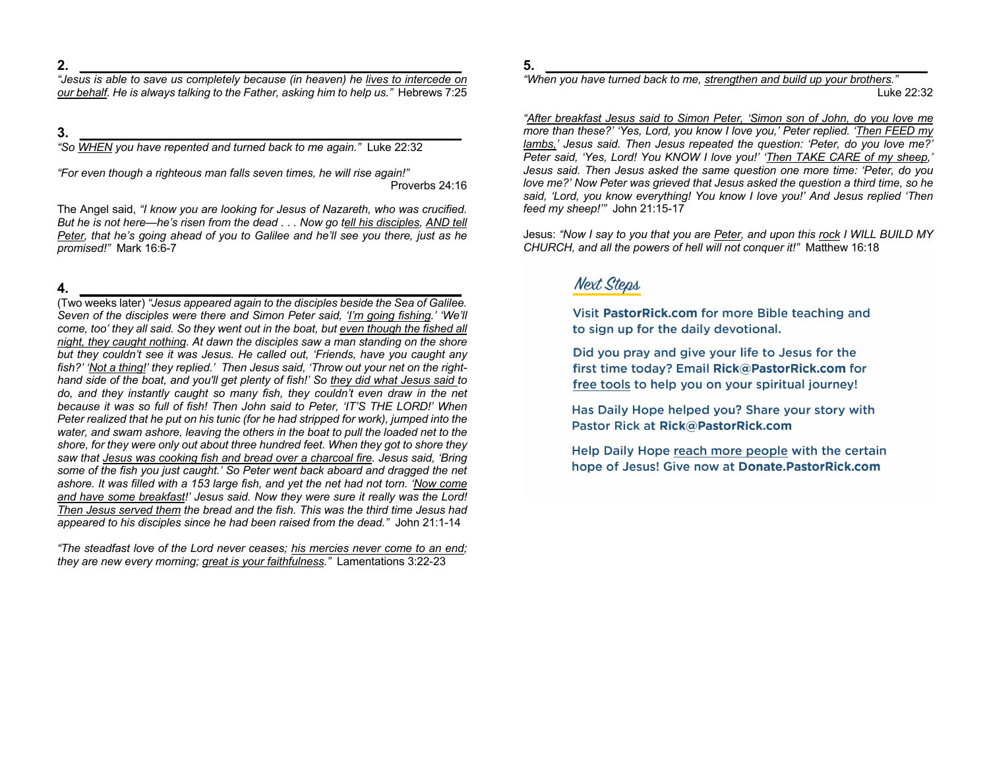**2. \_\_\_\_\_\_\_\_\_\_\_\_\_\_\_\_\_\_\_\_\_\_\_\_\_\_\_\_\_\_\_\_\_\_\_\_\_\_\_\_\_\_\_\_\_\_\_\_\_\_**

*"Jesus is able to save us completely because (in heaven) he lives to intercede on our behalf. He is always talking to the Father, asking him to help us."* Hebrews 7:25

**3. \_\_\_\_\_\_\_\_\_\_\_\_\_\_\_\_\_\_\_\_\_\_\_\_\_\_\_\_\_\_\_\_\_\_\_\_\_\_\_\_\_\_\_\_\_\_\_\_\_\_**

*"So WHEN you have repented and turned back to me again."* Luke 22:32

*"For even though a righteous man falls seven times, he will rise again!"* Proverbs 24:16

The Angel said, *"I know you are looking for Jesus of Nazareth, who was crucified. But he is not here—he's risen from the dead . . . Now go tell his disciples, AND tell Peter, that he's going ahead of you to Galilee and he'll see you there, just as he promised!"* Mark 16:6-7

**4. \_\_\_\_\_\_\_\_\_\_\_\_\_\_\_\_\_\_\_\_\_\_\_\_\_\_\_\_\_\_\_\_\_\_\_\_\_\_\_\_\_\_\_\_\_\_\_\_\_\_**

(Two weeks later) *"Jesus appeared again to the disciples beside the Sea of Galilee. Seven of the disciples were there and Simon Peter said, 'I'm going fishing.' 'We'll come, too' they all said. So they went out in the boat, but even though the fished all night, they caught nothing. At dawn the disciples saw a man standing on the shore but they couldn't see it was Jesus. He called out, 'Friends, have you caught any fish?' 'Not a thing!' they replied.' Then Jesus said, 'Throw out your net on the righthand side of the boat, and you'll get plenty of fish!' So they did what Jesus said to*  do, and they instantly caught so many fish, they couldn't even draw in the net *because it was so full of fish! Then John said to Peter, 'IT'S THE LORD!' When Peter realized that he put on his tunic (for he had stripped for work), jumped into the water, and swam ashore, leaving the others in the boat to pull the loaded net to the shore, for they were only out about three hundred feet. When they got to shore they saw that Jesus was cooking fish and bread over a charcoal fire. Jesus said, 'Bring some of the fish you just caught.' So Peter went back aboard and dragged the net ashore. It was filled with a 153 large fish, and yet the net had not torn. 'Now come and have some breakfast!' Jesus said. Now they were sure it really was the Lord! Then Jesus served them the bread and the fish. This was the third time Jesus had appeared to his disciples since he had been raised from the dead."* John 21:1-14

*"The steadfast love of the Lord never ceases; his mercies never come to an end; they are new every morning; great is your faithfulness."* Lamentations 3:22-23

**5. \_\_\_\_\_\_\_\_\_\_\_\_\_\_\_\_\_\_\_\_\_\_\_\_\_\_\_\_\_\_\_\_\_\_\_\_\_\_\_\_\_\_\_\_\_\_\_\_\_\_**

*"When you have turned back to me, strengthen and build up your brothers."* Luke 22:32

*"After breakfast Jesus said to Simon Peter, 'Simon son of John, do you love me more than these?' 'Yes, Lord, you know I love you,' Peter replied. 'Then FEED my lambs,' Jesus said. Then Jesus repeated the question: 'Peter, do you love me?' Peter said, 'Yes, Lord! You KNOW I love you!' 'Then TAKE CARE of my sheep,' Jesus said. Then Jesus asked the same question one more time: 'Peter, do you love me?' Now Peter was grieved that Jesus asked the question a third time, so he said, 'Lord, you know everything! You know I love you!' And Jesus replied 'Then feed my sheep!'"* John 21:15-17

Jesus: *"Now I say to you that you are Peter, and upon this rock I WILL BUILD MY CHURCH, and all the powers of hell will not conquer it!"* Matthew 16:18

# **Next Steps**

Visit PastorRick.com for more Bible teaching and to sign up for the daily devotional.

Did you pray and give your life to Jesus for the first time today? Email Rick@PastorRick.com for free tools to help you on your spiritual journey!

Has Daily Hope helped you? Share your story with Pastor Rick at Rick@PastorRick.com

Help Daily Hope reach more people with the certain hope of Jesus! Give now at Donate.PastorRick.com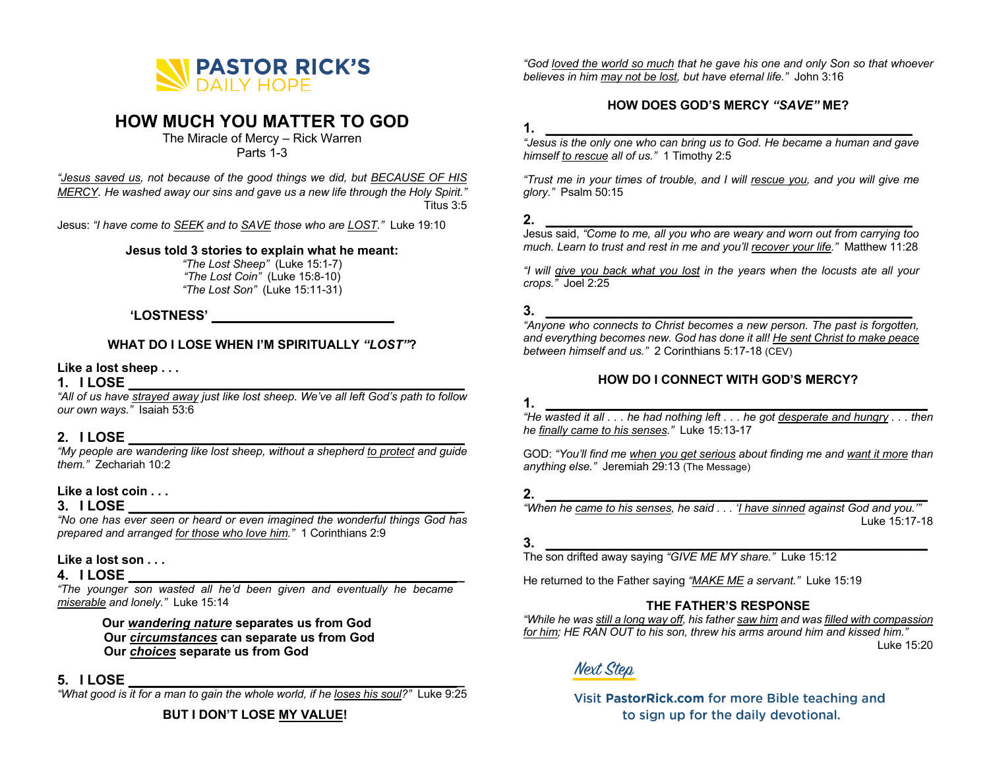

# **HOW MUCH YOU MATTER TO GOD**

The Miracle of Mercy – Rick Warren Parts 1-3

*"Jesus saved us, not because of the good things we did, but BECAUSE OF HIS MERCY. He washed away our sins and gave us a new life through the Holy Spirit."*  Titus 3:5

Jesus: *"I have come to SEEK and to SAVE those who are LOST."* Luke 19:10

#### **Jesus told 3 stories to explain what he meant:**

*"The Lost Sheep"* (Luke 15:1-7) *"The Lost Coin"* (Luke 15:8-10) *"The Lost Son"* (Luke 15:11-31)

# **'LOSTNESS' \_\_\_\_\_\_\_\_\_\_\_\_\_\_\_\_\_\_\_\_\_\_\_\_\_**

#### **WHAT DO I LOSE WHEN I'M SPIRITUALLY** *"LOST"***?**

#### **Like a lost sheep . . .**

## **1. I LOSE \_\_\_\_\_\_\_\_\_\_\_\_\_\_\_\_\_\_\_\_\_\_\_\_\_\_\_\_\_\_\_\_\_\_\_\_\_\_\_\_\_\_\_\_**

*"All of us have strayed away just like lost sheep. We've all left God's path to follow our own ways."* Isaiah 53:6

# **2. I LOSE \_\_\_\_\_\_\_\_\_\_\_\_\_\_\_\_\_\_\_\_\_\_\_\_\_\_\_\_\_\_\_\_\_\_\_\_\_\_\_\_\_\_\_\_**

*"My people are wandering like lost sheep, without a shepherd to protect and guide them."* Zechariah 10:2

## **Like a lost coin . . .**

# **3. I LOSE \_\_\_\_\_\_\_\_\_\_\_\_\_\_\_\_\_\_\_\_\_\_\_\_\_\_\_\_\_\_\_\_\_\_\_\_\_\_\_\_\_\_\_\_**

*"No one has ever seen or heard or even imagined the wonderful things God has prepared and arranged for those who love him."* 1 Corinthians 2:9

## **Like a lost son . . .**

## **4. I LOSE \_\_\_\_\_\_\_\_\_\_\_\_\_\_\_\_\_\_\_\_\_\_\_\_\_\_\_\_\_\_\_\_\_\_\_\_\_\_\_\_\_\_\_\_**

*"The younger son wasted all he'd been given and eventually he became miserable and lonely."* Luke 15:14

> **Our** *wandering nature* **separates us from God Our** *circumstances* **can separate us from God Our** *choices* **separate us from God**

# **5. I LOSE \_\_\_\_\_\_\_\_\_\_\_\_\_\_\_\_\_\_\_\_\_\_\_\_\_\_\_\_\_\_\_\_\_\_\_\_\_\_\_\_\_\_\_\_**

**The LOOL**<br>"What good is it for a man to gain the whole world, if he loses his soul?" Luke 9:25

**BUT I DON'T LOSE MY VALUE!**

*"God loved the world so much that he gave his one and only Son so that whoever believes in him may not be lost, but have eternal life."* John 3:16

# **HOW DOES GOD'S MERCY** *"SAVE"* **ME?**

#### **1. \_\_\_\_\_\_\_\_\_\_\_\_\_\_\_\_\_\_\_\_\_\_\_\_\_\_\_\_\_\_\_\_\_\_\_\_\_\_\_\_\_\_\_\_\_\_\_\_**

*"Jesus is the only one who can bring us to God. He became a human and gave himself to rescue all of us."* 1 Timothy 2:5

*"Trust me in your times of trouble, and I will rescue you, and you will give me glory."* Psalm 50:15

# **2. \_\_\_\_\_\_\_\_\_\_\_\_\_\_\_\_\_\_\_\_\_\_\_\_\_\_\_\_\_\_\_\_\_\_\_\_\_\_\_\_\_\_\_\_\_\_\_\_**

Jesus said, *"Come to me, all you who are weary and worn out from carrying too much. Learn to trust and rest in me and you'll recover your life."* Matthew 11:28

*"I will give you back what you lost in the years when the locusts ate all your crops."* Joel 2:25

# **3. \_\_\_\_\_\_\_\_\_\_\_\_\_\_\_\_\_\_\_\_\_\_\_\_\_\_\_\_\_\_\_\_\_\_\_\_\_\_\_\_\_\_\_\_\_\_\_\_**

*"Anyone who connects to Christ becomes a new person. The past is forgotten, and everything becomes new. God has done it all! He sent Christ to make peace* between himself and us." 2 Corinthians 5:17-18 (CEV)

## **HOW DO I CONNECT WITH GOD'S MERCY?**

# **1. \_\_\_\_\_\_\_\_\_\_\_\_\_\_\_\_\_\_\_\_\_\_\_\_\_\_\_\_\_\_\_\_\_\_\_\_\_\_\_\_\_\_\_\_\_\_\_\_\_\_**

*"He wasted it all . . . he had nothing left . . . he got desperate and hungry . . . then he finally came to his senses."* Luke 15:13-17

GOD: *"You'll find me when you get serious about finding me and want it more than anything else."* Jeremiah 29:13 (The Message)

# **2. \_\_\_\_\_\_\_\_\_\_\_\_\_\_\_\_\_\_\_\_\_\_\_\_\_\_\_\_\_\_\_\_\_\_\_\_\_\_\_\_\_\_\_\_\_\_\_\_\_\_**

*"When he came to his senses, he said . . . 'I have sinned against God and you.'"*  Luke 15:17-18

#### **3. \_\_\_\_\_\_\_\_\_\_\_\_\_\_\_\_\_\_\_\_\_\_\_\_\_\_\_\_\_\_\_\_\_\_\_\_\_\_\_\_\_\_\_\_\_\_\_\_\_\_**

The son drifted away saying *"GIVE ME MY share."* Luke 15:12

He returned to the Father saying *"MAKE ME a servant."* Luke 15:19

# **THE FATHER'S RESPONSE**

*"While he was still a long way off, his father saw him and was filled with compassion for him; HE RAN OUT to his son, threw his arms around him and kissed him."*

Luke 15:20

# **Next Step**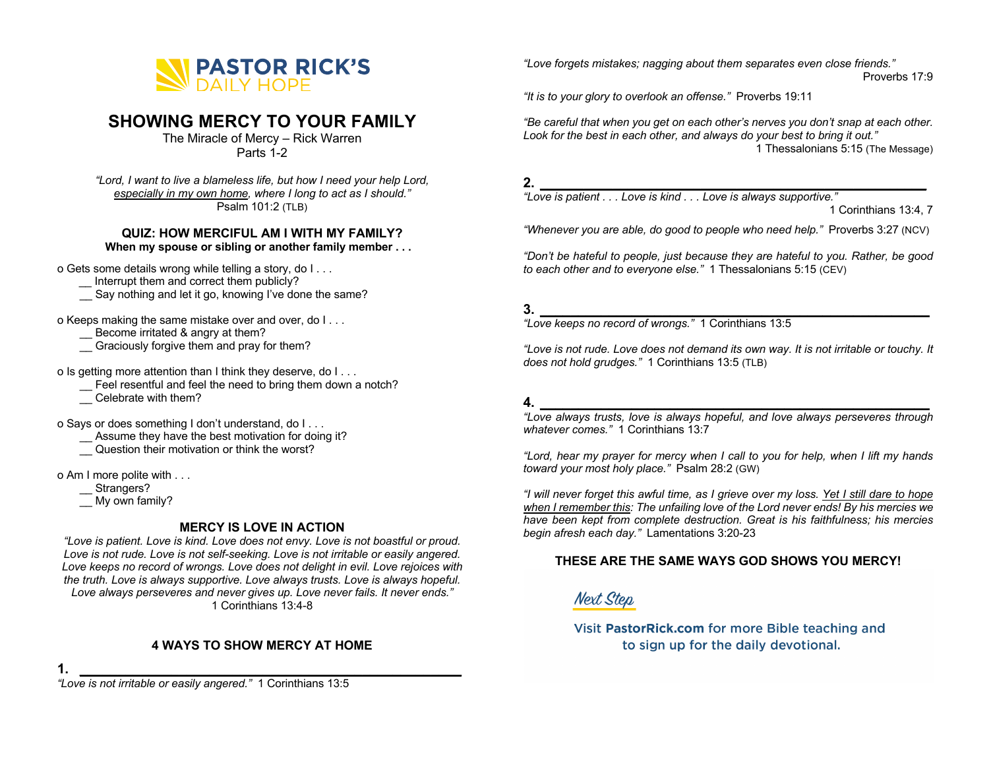

# **SHOWING MERCY TO YOUR FAMILY**

The Miracle of Mercy – Rick Warren Parts 1-2

*"Lord, I want to live a blameless life, but how I need your help Lord, especially in my own home, where I long to act as I should."* Psalm 101:2 (TLB)

# **QUIZ: HOW MERCIFUL AM I WITH MY FAMILY?**

**When my spouse or sibling or another family member . . .**

o Gets some details wrong while telling a story, do I . . .

- Interrupt them and correct them publicly?
- \_\_ Say nothing and let it go, knowing I've done the same?

o Keeps making the same mistake over and over, do I . . .

Become irritated & angry at them?

\_\_ Graciously forgive them and pray for them?

o Is getting more attention than I think they deserve, do I . . .

\_\_ Feel resentful and feel the need to bring them down a notch?

\_\_ Celebrate with them?

o Says or does something I don't understand, do I . . .

- \_\_ Assume they have the best motivation for doing it?
- \_\_ Question their motivation or think the worst?

o Am I more polite with . . .

\_\_ Strangers?

 $\equiv$  My own family?

# **MERCY IS LOVE IN ACTION**

*"Love is patient. Love is kind. Love does not envy. Love is not boastful or proud. Love is not rude. Love is not self-seeking. Love is not irritable or easily angered. Love keeps no record of wrongs. Love does not delight in evil. Love rejoices with the truth. Love is always supportive. Love always trusts. Love is always hopeful. Love always perseveres and never gives up. Love never fails. It never ends."* 1 Corinthians 13:4-8

# **4 WAYS TO SHOW MERCY AT HOME**

**1. \_\_\_\_\_\_\_\_\_\_\_\_\_\_\_\_\_\_\_\_\_\_\_\_\_\_\_\_\_\_\_\_\_\_\_\_\_\_\_\_\_\_\_\_\_\_\_\_\_\_**

*"Love is not irritable or easily angered."* 1 Corinthians 13:5

*"Love forgets mistakes; nagging about them separates even close friends."* Proverbs 17:9

*"It is to your glory to overlook an offense."* Proverbs 19:11

*"Be careful that when you get on each other's nerves you don't snap at each other. Look for the best in each other, and always do your best to bring it out."* 1 Thessalonians 5:15 (The Message)

#### **2. \_\_\_\_\_\_\_\_\_\_\_\_\_\_\_\_\_\_\_\_\_\_\_\_\_\_\_\_\_\_\_\_\_\_\_\_\_\_\_\_\_\_\_\_\_\_\_\_\_\_\_\_\_**

*"Love is patient . . . Love is kind . . . Love is always supportive."* 

1 Corinthians 13:4, 7

*"Whenever you are able, do good to people who need help."* Proverbs 3:27 (NCV)

*"Don't be hateful to people, just because they are hateful to you. Rather, be good to each other and to everyone else."* 1 Thessalonians 5:15 (CEV)

# **3. \_\_\_\_\_\_\_\_\_\_\_\_\_\_\_\_\_\_\_\_\_\_\_\_\_\_\_\_\_\_\_\_\_\_\_\_\_\_\_\_\_\_\_\_\_\_\_\_\_\_\_**

*"Love keeps no record of wrongs."* 1 Corinthians 13:5

*"Love is not rude. Love does not demand its own way. It is not irritable or touchy. It does not hold grudges."* 1 Corinthians 13:5 (TLB)

# **4. \_\_\_\_\_\_\_\_\_\_\_\_\_\_\_\_\_\_\_\_\_\_\_\_\_\_\_\_\_\_\_\_\_\_\_\_\_\_\_\_\_\_\_\_\_\_\_\_\_\_\_**

*"Love always trusts, love is always hopeful, and love always perseveres through whatever comes."* 1 Corinthians 13:7

*"Lord, hear my prayer for mercy when I call to you for help, when I lift my hands toward your most holy place."* Psalm 28:2 (GW)

*"I will never forget this awful time, as I grieve over my loss. Yet I still dare to hope when I remember this: The unfailing love of the Lord never ends! By his mercies we have been kept from complete destruction. Great is his faithfulness; his mercies begin afresh each day."* Lamentations 3:20-23

# **THESE ARE THE SAME WAYS GOD SHOWS YOU MERCY!**

**Next Step**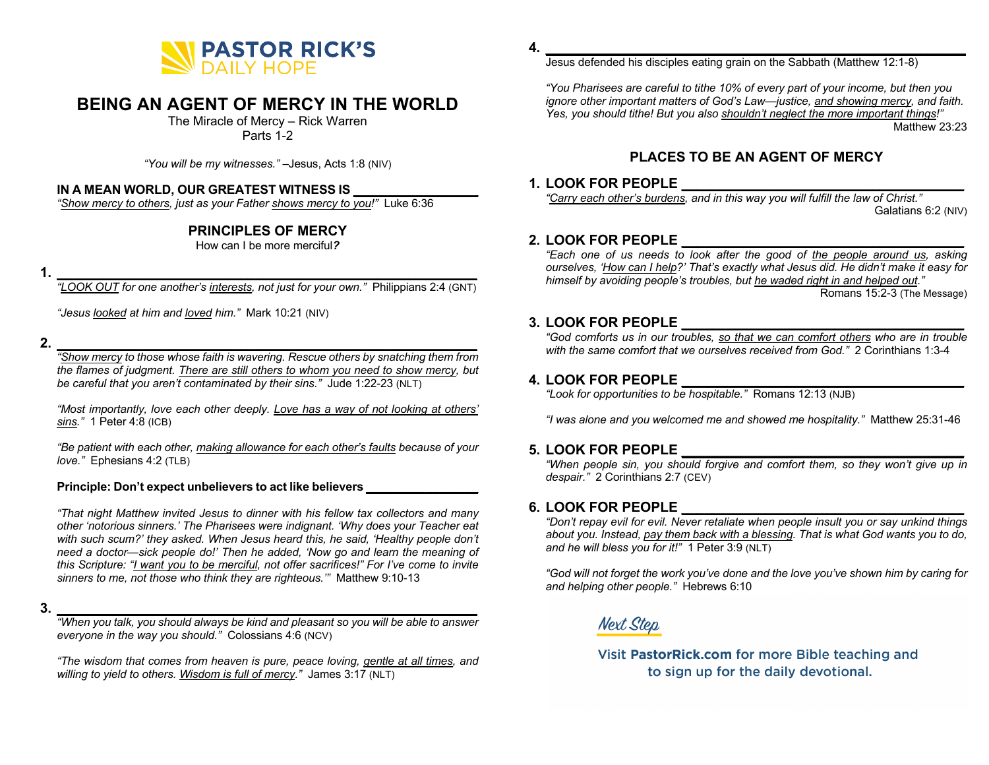

# **BEING AN AGENT OF MERCY IN THE WORLD**

The Miracle of Mercy – Rick Warren

Parts 1-2

*"You will be my witnesses."* –Jesus, Acts 1:8 (NIV)

#### **IN A MEAN WORLD, OUR GREATEST WITNESS IS \_\_\_\_\_\_\_\_\_\_\_\_\_\_\_\_\_\_**

*"Show mercy to others, just as your Father shows mercy to you!"* Luke 6:36

# **PRINCIPLES OF MERCY**

How can I be more merciful*?*

**1. \_\_\_\_\_\_\_\_\_\_\_\_\_\_\_\_\_\_\_\_\_\_\_\_\_\_\_\_\_\_\_\_\_\_\_\_\_\_\_\_\_\_\_\_\_\_\_\_\_\_\_\_\_\_\_**

*"LOOK OUT for one another's interests, not just for your own."* Philippians 2:4 (GNT)

*"Jesus looked at him and loved him."* Mark 10:21 (NIV)

#### **2. \_\_\_\_\_\_\_\_\_\_\_\_\_\_\_\_\_\_\_\_\_\_\_\_\_\_\_\_\_\_\_\_\_\_\_\_\_\_\_\_\_\_\_\_\_\_\_\_\_\_\_\_\_\_\_**

*"Show mercy to those whose faith is wavering. Rescue others by snatching them from the flames of judgment. There are still others to whom you need to show mercy, but be careful that you aren't contaminated by their sins."* Jude 1:22-23 (NLT)

*"Most importantly, love each other deeply. Love has a way of not looking at others' sins."* 1 Peter 4:8 (ICB)

*"Be patient with each other, making allowance for each other's faults because of your love."* Ephesians 4:2 (TLB)

#### **Principle: Don't expect unbelievers to act like believers \_\_\_\_\_\_\_\_\_\_\_\_\_\_\_\_\_**

*"That night Matthew invited Jesus to dinner with his fellow tax collectors and many other 'notorious sinners.' The Pharisees were indignant. 'Why does your Teacher eat with such scum?' they asked. When Jesus heard this, he said, 'Healthy people don't need a doctor—sick people do!' Then he added, 'Now go and learn the meaning of this Scripture: "I want you to be merciful, not offer sacrifices!" For I've come to invite sinners to me, not those who think they are righteous.'"* Matthew 9:10-13

**3. \_\_\_\_\_\_\_\_\_\_\_\_\_\_\_\_\_\_\_\_\_\_\_\_\_\_\_\_\_\_\_\_\_\_\_\_\_\_\_\_\_\_\_\_\_\_\_\_\_\_\_\_\_\_\_**

*"When you talk, you should always be kind and pleasant so you will be able to answer everyone in the way you should."* Colossians 4:6 (NCV)

*"The wisdom that comes from heaven is pure, peace loving, gentle at all times, and*  willing to yield to others. Wisdom is full of mercy." James 3:17 (NLT)

**4. \_\_\_\_\_\_\_\_\_\_\_\_\_\_\_\_\_\_\_\_\_\_\_\_\_\_\_\_\_\_\_\_\_\_\_\_\_\_\_\_\_\_\_\_\_\_\_\_\_\_\_\_\_\_\_**

Jesus defended his disciples eating grain on the Sabbath (Matthew 12:1-8)

*"You Pharisees are careful to tithe 10% of every part of your income, but then you ignore other important matters of God's Law—justice, and showing mercy, and faith. Yes, you should tithe! But you also shouldn't neglect the more important things!"* Matthew 23:23

# **PLACES TO BE AN AGENT OF MERCY**

#### **1. LOOK FOR PEOPLE \_\_\_\_\_\_\_\_\_\_\_\_\_\_\_\_\_\_\_\_\_\_\_\_\_\_\_\_\_\_\_\_\_\_\_\_\_**

*"Carry each other's burdens, and in this way you will fulfill the law of Christ."* Galatians 6:2 (NIV)

#### **2. LOOK FOR PEOPLE \_\_\_\_\_\_\_\_\_\_\_\_\_\_\_\_\_\_\_\_\_\_\_\_\_\_\_\_\_\_\_\_\_\_\_\_\_**

*"Each one of us needs to look after the good of the people around us, asking ourselves, 'How can I help?' That's exactly what Jesus did. He didn't make it easy for himself by avoiding people's troubles, but he waded right in and helped out."* Romans 15:2-3 (The Message)

#### **3. LOOK FOR PEOPLE \_\_\_\_\_\_\_\_\_\_\_\_\_\_\_\_\_\_\_\_\_\_\_\_\_\_\_\_\_\_\_\_\_\_\_\_\_**

*"God comforts us in our troubles, so that we can comfort others who are in trouble with the same comfort that we ourselves received from God."* 2 Corinthians 1:3-4

#### **4. LOOK FOR PEOPLE \_\_\_\_\_\_\_\_\_\_\_\_\_\_\_\_\_\_\_\_\_\_\_\_\_\_\_\_\_\_\_\_\_\_\_\_\_**

*"Look for opportunities to be hospitable."* Romans 12:13 (NJB)

*"I was alone and you welcomed me and showed me hospitality."* Matthew 25:31-46

#### **5. LOOK FOR PEOPLE \_\_\_\_\_\_\_\_\_\_\_\_\_\_\_\_\_\_\_\_\_\_\_\_\_\_\_\_\_\_\_\_\_\_\_\_\_**

*"When people sin, you should forgive and comfort them, so they won't give up in despair."* 2 Corinthians 2:7 (CEV)

#### **6. LOOK FOR PEOPLE \_\_\_\_\_\_\_\_\_\_\_\_\_\_\_\_\_\_\_\_\_\_\_\_\_\_\_\_\_\_\_\_\_\_\_\_\_**

*"Don't repay evil for evil. Never retaliate when people insult you or say unkind things about you. Instead, pay them back with a blessing. That is what God wants you to do, and he will bless you for it!"* 1 Peter 3:9 (NLT)

*"God will not forget the work you've done and the love you've shown him by caring for and helping other people."* Hebrews 6:10

**Next Step**